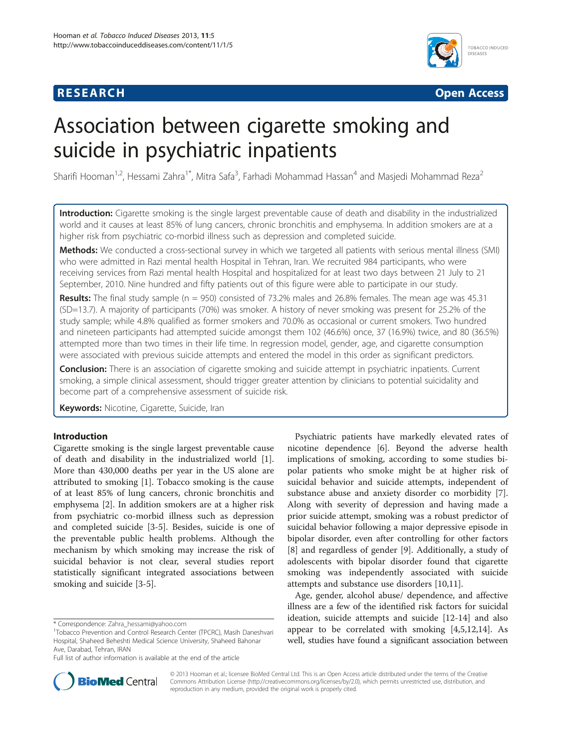

**RESEARCH RESEARCH** *CHECKER CHECKER CHECKER CHECKER CHECKER CHECKER CHECKER CHECKER CHECKER CHECKER CHECKER* 

# Association between cigarette smoking and suicide in psychiatric inpatients

Sharifi Hooman<sup>1,2</sup>, Hessami Zahra<sup>1\*</sup>, Mitra Safa<sup>3</sup>, Farhadi Mohammad Hassan<sup>4</sup> and Masjedi Mohammad Reza<sup>2</sup>

Introduction: Cigarette smoking is the single largest preventable cause of death and disability in the industrialized world and it causes at least 85% of lung cancers, chronic bronchitis and emphysema. In addition smokers are at a higher risk from psychiatric co-morbid illness such as depression and completed suicide.

Methods: We conducted a cross-sectional survey in which we targeted all patients with serious mental illness (SMI) who were admitted in Razi mental health Hospital in Tehran, Iran. We recruited 984 participants, who were receiving services from Razi mental health Hospital and hospitalized for at least two days between 21 July to 21 September, 2010. Nine hundred and fifty patients out of this figure were able to participate in our study.

**Results:** The final study sample ( $n = 950$ ) consisted of 73.2% males and 26.8% females. The mean age was 45.31 (SD=13.7). A majority of participants (70%) was smoker. A history of never smoking was present for 25.2% of the study sample; while 4.8% qualified as former smokers and 70.0% as occasional or current smokers. Two hundred and nineteen participants had attempted suicide amongst them 102 (46.6%) once, 37 (16.9%) twice, and 80 (36.5%) attempted more than two times in their life time. In regression model, gender, age, and cigarette consumption were associated with previous suicide attempts and entered the model in this order as significant predictors.

**Conclusion:** There is an association of cigarette smoking and suicide attempt in psychiatric inpatients. Current smoking, a simple clinical assessment, should trigger greater attention by clinicians to potential suicidality and become part of a comprehensive assessment of suicide risk.

Keywords: Nicotine, Cigarette, Suicide, Iran

# Introduction

Cigarette smoking is the single largest preventable cause of death and disability in the industrialized world [\[1](#page-4-0)]. More than 430,000 deaths per year in the US alone are attributed to smoking [[1\]](#page-4-0). Tobacco smoking is the cause of at least 85% of lung cancers, chronic bronchitis and emphysema [[2](#page-4-0)]. In addition smokers are at a higher risk from psychiatric co-morbid illness such as depression and completed suicide [\[3](#page-4-0)-[5\]](#page-4-0). Besides, suicide is one of the preventable public health problems. Although the mechanism by which smoking may increase the risk of suicidal behavior is not clear, several studies report statistically significant integrated associations between smoking and suicide [[3-5](#page-4-0)].

Psychiatric patients have markedly elevated rates of nicotine dependence [[6\]](#page-4-0). Beyond the adverse health implications of smoking, according to some studies bipolar patients who smoke might be at higher risk of suicidal behavior and suicide attempts, independent of substance abuse and anxiety disorder co morbidity [\[7](#page-4-0)]. Along with severity of depression and having made a prior suicide attempt, smoking was a robust predictor of suicidal behavior following a major depressive episode in bipolar disorder, even after controlling for other factors [[8\]](#page-4-0) and regardless of gender [[9\]](#page-4-0). Additionally, a study of adolescents with bipolar disorder found that cigarette smoking was independently associated with suicide attempts and substance use disorders [[10,11\]](#page-5-0).

Age, gender, alcohol abuse/ dependence, and affective illness are a few of the identified risk factors for suicidal ideation, suicide attempts and suicide [\[12](#page-5-0)-[14\]](#page-5-0) and also appear to be correlated with smoking [[4,5,](#page-4-0)[12,14\]](#page-5-0). As well, studies have found a significant association between



© 2013 Hooman et al.; licensee BioMed Central Ltd. This is an Open Access article distributed under the terms of the Creative Commons Attribution License [\(http://creativecommons.org/licenses/by/2.0\)](http://creativecommons.org/licenses/by/2.0), which permits unrestricted use, distribution, and reproduction in any medium, provided the original work is properly cited.

<sup>\*</sup> Correspondence: [Zahra\\_hessami@yahoo.com](mailto:Zahra_hessami@yahoo.com) <sup>1</sup>

<sup>&</sup>lt;sup>1</sup>Tobacco Prevention and Control Research Center (TPCRC), Masih Daneshvari Hospital, Shaheed Beheshti Medical Science University, Shaheed Bahonar Ave, Darabad, Tehran, IRAN

Full list of author information is available at the end of the article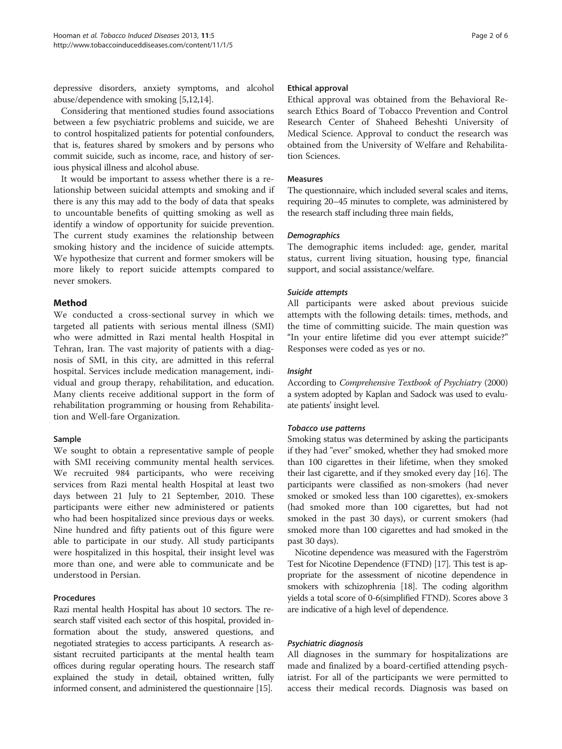depressive disorders, anxiety symptoms, and alcohol abuse/dependence with smoking [[5,](#page-4-0)[12,14](#page-5-0)].

Considering that mentioned studies found associations between a few psychiatric problems and suicide, we are to control hospitalized patients for potential confounders, that is, features shared by smokers and by persons who commit suicide, such as income, race, and history of serious physical illness and alcohol abuse.

It would be important to assess whether there is a relationship between suicidal attempts and smoking and if there is any this may add to the body of data that speaks to uncountable benefits of quitting smoking as well as identify a window of opportunity for suicide prevention. The current study examines the relationship between smoking history and the incidence of suicide attempts. We hypothesize that current and former smokers will be more likely to report suicide attempts compared to never smokers.

# Method

We conducted a cross-sectional survey in which we targeted all patients with serious mental illness (SMI) who were admitted in Razi mental health Hospital in Tehran, Iran. The vast majority of patients with a diagnosis of SMI, in this city, are admitted in this referral hospital. Services include medication management, individual and group therapy, rehabilitation, and education. Many clients receive additional support in the form of rehabilitation programming or housing from Rehabilitation and Well-fare Organization.

# Sample

We sought to obtain a representative sample of people with SMI receiving community mental health services. We recruited 984 participants, who were receiving services from Razi mental health Hospital at least two days between 21 July to 21 September, 2010. These participants were either new administered or patients who had been hospitalized since previous days or weeks. Nine hundred and fifty patients out of this figure were able to participate in our study. All study participants were hospitalized in this hospital, their insight level was more than one, and were able to communicate and be understood in Persian.

#### Procedures

Razi mental health Hospital has about 10 sectors. The research staff visited each sector of this hospital, provided information about the study, answered questions, and negotiated strategies to access participants. A research assistant recruited participants at the mental health team offices during regular operating hours. The research staff explained the study in detail, obtained written, fully informed consent, and administered the questionnaire [\[15\]](#page-5-0).

Ethical approval was obtained from the Behavioral Research Ethics Board of Tobacco Prevention and Control Research Center of Shaheed Beheshti University of Medical Science. Approval to conduct the research was obtained from the University of Welfare and Rehabilitation Sciences.

#### Measures

The questionnaire, which included several scales and items, requiring 20–45 minutes to complete, was administered by the research staff including three main fields,

## **Demographics**

The demographic items included: age, gender, marital status, current living situation, housing type, financial support, and social assistance/welfare.

## Suicide attempts

All participants were asked about previous suicide attempts with the following details: times, methods, and the time of committing suicide. The main question was "In your entire lifetime did you ever attempt suicide?" Responses were coded as yes or no.

#### Insight

According to Comprehensive Textbook of Psychiatry (2000) a system adopted by Kaplan and Sadock was used to evaluate patients' insight level.

#### Tobacco use patterns

Smoking status was determined by asking the participants if they had "ever" smoked, whether they had smoked more than 100 cigarettes in their lifetime, when they smoked their last cigarette, and if they smoked every day [\[16\]](#page-5-0). The participants were classified as non-smokers (had never smoked or smoked less than 100 cigarettes), ex-smokers (had smoked more than 100 cigarettes, but had not smoked in the past 30 days), or current smokers (had smoked more than 100 cigarettes and had smoked in the past 30 days).

Nicotine dependence was measured with the Fagerström Test for Nicotine Dependence (FTND) [\[17\]](#page-5-0). This test is appropriate for the assessment of nicotine dependence in smokers with schizophrenia [[18](#page-5-0)]. The coding algorithm yields a total score of 0-6(simplified FTND). Scores above 3 are indicative of a high level of dependence.

#### Psychiatric diagnosis

All diagnoses in the summary for hospitalizations are made and finalized by a board-certified attending psychiatrist. For all of the participants we were permitted to access their medical records. Diagnosis was based on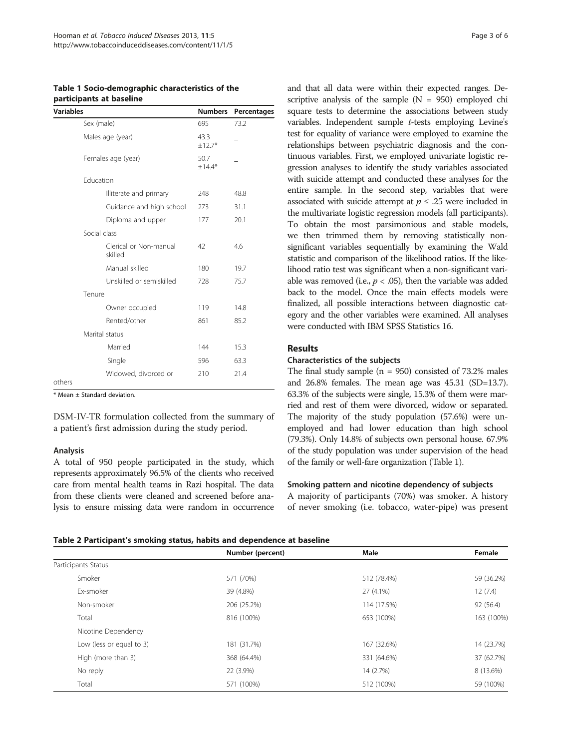<span id="page-2-0"></span>

|  |                          | Table 1 Socio-demographic characteristics of the |  |
|--|--------------------------|--------------------------------------------------|--|
|  | participants at baseline |                                                  |  |

| Variables |                                   |                  | Numbers Percentages |
|-----------|-----------------------------------|------------------|---------------------|
|           | Sex (male)                        | 695              | 73.2                |
|           | Males age (year)                  | 43.3<br>$±12.7*$ |                     |
|           | Females age (year)                | 50.7<br>$±14.4*$ |                     |
|           | Education                         |                  |                     |
|           | Illiterate and primary            | 248              | 48.8                |
|           | Guidance and high school          | 273              | 31.1                |
|           | Diploma and upper                 | 177              | 20.1                |
|           | Social class                      |                  |                     |
|           | Clerical or Non-manual<br>skilled | 42               | 4.6                 |
|           | Manual skilled                    | 180              | 19.7                |
|           | Unskilled or semiskilled          | 728              | 75.7                |
|           | Tenure                            |                  |                     |
|           | Owner occupied                    | 119              | 14.8                |
|           | Rented/other                      | 861              | 85.2                |
|           | Marital status                    |                  |                     |
|           | Married                           | 144              | 15.3                |
|           | Single                            | 596              | 63.3                |
| others    | Widowed, divorced or              | 210              | 21.4                |

 $*$  Mean  $\pm$  Standard deviation.

DSM-IV-TR formulation collected from the summary of a patient's first admission during the study period.

#### Analysis

A total of 950 people participated in the study, which represents approximately 96.5% of the clients who received care from mental health teams in Razi hospital. The data from these clients were cleaned and screened before analysis to ensure missing data were random in occurrence

and that all data were within their expected ranges. Descriptive analysis of the sample  $(N = 950)$  employed chi square tests to determine the associations between study variables. Independent sample t-tests employing Levine's test for equality of variance were employed to examine the relationships between psychiatric diagnosis and the continuous variables. First, we employed univariate logistic regression analyses to identify the study variables associated with suicide attempt and conducted these analyses for the entire sample. In the second step, variables that were associated with suicide attempt at  $p \le 0.25$  were included in the multivariate logistic regression models (all participants). To obtain the most parsimonious and stable models, we then trimmed them by removing statistically nonsignificant variables sequentially by examining the Wald statistic and comparison of the likelihood ratios. If the likelihood ratio test was significant when a non-significant variable was removed (i.e.,  $p < .05$ ), then the variable was added back to the model. Once the main effects models were finalized, all possible interactions between diagnostic category and the other variables were examined. All analyses were conducted with IBM SPSS Statistics 16.

## Results

## Characteristics of the subjects

The final study sample ( $n = 950$ ) consisted of 73.2% males and 26.8% females. The mean age was 45.31 (SD=13.7). 63.3% of the subjects were single, 15.3% of them were married and rest of them were divorced, widow or separated. The majority of the study population (57.6%) were unemployed and had lower education than high school (79.3%). Only 14.8% of subjects own personal house. 67.9% of the study population was under supervision of the head of the family or well-fare organization (Table 1).

### Smoking pattern and nicotine dependency of subjects

A majority of participants (70%) was smoker. A history of never smoking (i.e. tobacco, water-pipe) was present

## Table 2 Participant's smoking status, habits and dependence at baseline

|                          | Number (percent) | Male        | Female     |
|--------------------------|------------------|-------------|------------|
| Participants Status      |                  |             |            |
| Smoker                   | 571 (70%)        | 512 (78.4%) | 59 (36.2%) |
| Ex-smoker                | 39 (4.8%)        | 27 (4.1%)   | 12(7.4)    |
| Non-smoker               | 206 (25.2%)      | 114 (17.5%) | 92 (56.4)  |
| Total                    | 816 (100%)       | 653 (100%)  | 163 (100%) |
| Nicotine Dependency      |                  |             |            |
| Low (less or equal to 3) | 181 (31.7%)      | 167 (32.6%) | 14 (23.7%) |
| High (more than 3)       | 368 (64.4%)      | 331 (64.6%) | 37 (62.7%) |
| No reply                 | 22 (3.9%)        | 14 (2.7%)   | 8 (13.6%)  |
| Total                    | 571 (100%)       | 512 (100%)  | 59 (100%)  |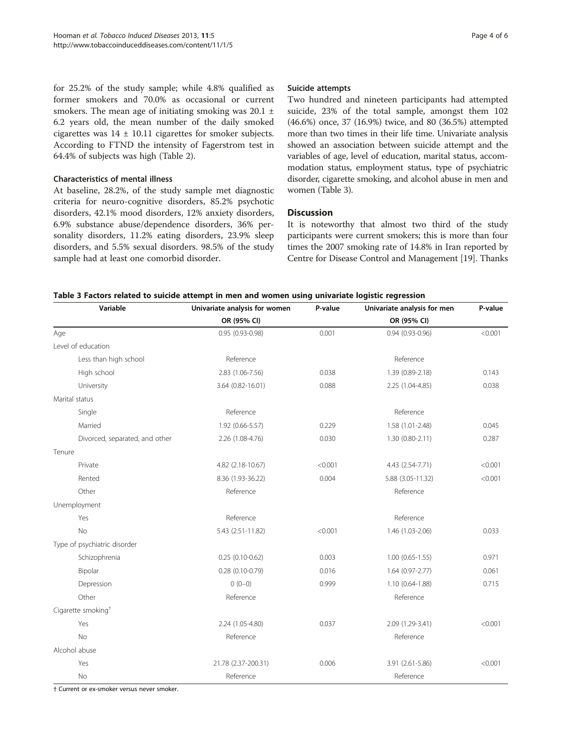for 25.2% of the study sample; while 4.8% qualified as former smokers and 70.0% as occasional or current smokers. The mean age of initiating smoking was 20.1 ± 6.2 years old, the mean number of the daily smoked cigarettes was  $14 \pm 10.11$  cigarettes for smoker subjects. According to FTND the intensity of Fagerstrom test in 64.4% of subjects was high (Table [2\)](#page-2-0).

#### Characteristics of mental illness

At baseline, 28.2%, of the study sample met diagnostic criteria for neuro-cognitive disorders, 85.2% psychotic disorders, 42.1% mood disorders, 12% anxiety disorders, 6.9% substance abuse/dependence disorders, 36% personality disorders, 11.2% eating disorders, 23.9% sleep disorders, and 5.5% sexual disorders. 98.5% of the study sample had at least one comorbid disorder.

#### Suicide attempts

Two hundred and nineteen participants had attempted suicide, 23% of the total sample, amongst them 102 (46.6%) once, 37 (16.9%) twice, and 80 (36.5%) attempted more than two times in their life time. Univariate analysis showed an association between suicide attempt and the variables of age, level of education, marital status, accommodation status, employment status, type of psychiatric disorder, cigarette smoking, and alcohol abuse in men and women (Table 3).

# **Discussion**

It is noteworthy that almost two third of the study participants were current smokers; this is more than four times the 2007 smoking rate of 14.8% in Iran reported by Centre for Disease Control and Management [\[19\]](#page-5-0). Thanks

|  | Table 3 Factors related to suicide attempt in men and women using univariate logistic regression |
|--|--------------------------------------------------------------------------------------------------|
|  |                                                                                                  |

| Variable                       | Univariate analysis for women | P-value | Univariate analysis for men | P-value |
|--------------------------------|-------------------------------|---------|-----------------------------|---------|
|                                | OR (95% CI)                   |         | OR (95% CI)                 |         |
| Age                            | 0.95 (0.93-0.98)              | 0.001   | $0.94(0.93-0.96)$           | < 0.001 |
| Level of education             |                               |         |                             |         |
| Less than high school          | Reference                     |         | Reference                   |         |
| High school                    | 2.83 (1.06-7.56)              | 0.038   | 1.39 (0.89-2.18)            | 0.143   |
| University                     | 3.64 (0.82-16.01)             | 0.088   | 2.25 (1.04-4.85)            | 0.038   |
| Marital status                 |                               |         |                             |         |
| Single                         | Reference                     |         | Reference                   |         |
| Married                        | 1.92 (0.66-5.57)              | 0.229   | 1.58 (1.01-2.48)            | 0.045   |
| Divorced, separated, and other | 2.26 (1.08-4.76)              | 0.030   | 1.30 (0.80-2.11)            | 0.287   |
| Tenure                         |                               |         |                             |         |
| Private                        | 4.82 (2.18-10.67)             | < 0.001 | 4.43 (2.54-7.71)            | < 0.001 |
| Rented                         | 8.36 (1.93-36.22)             | 0.004   | 5.88 (3.05-11.32)           | < 0.001 |
| Other                          | Reference                     |         | Reference                   |         |
| Unemployment                   |                               |         |                             |         |
| Yes                            | Reference                     |         | Reference                   |         |
| No                             | 5.43 (2.51-11.82)             | < 0.001 | 1.46 (1.03-2.06)            | 0.033   |
| Type of psychiatric disorder   |                               |         |                             |         |
| Schizophrenia                  | $0.25(0.10-0.62)$             | 0.003   | $1.00(0.65-1.55)$           | 0.971   |
| Bipolar                        | $0.28(0.10-0.79)$             | 0.016   | 1.64 (0.97-2.77)            | 0.061   |
| Depression                     | $0(0-0)$                      | 0.999   | 1.10 (0.64-1.88)            | 0.715   |
| Other                          | Reference                     |         | Reference                   |         |
| Cigarette smoking <sup>+</sup> |                               |         |                             |         |
| Yes                            | 2.24 (1.05-4.80)              | 0.037   | 2.09 (1.29-3.41)            | < 0.001 |
| <b>No</b>                      | Reference                     |         | Reference                   |         |
| Alcohol abuse                  |                               |         |                             |         |
| Yes                            | 21.78 (2.37-200.31)           | 0.006   | 3.91 (2.61-5.86)            | < 0.001 |
| No                             | Reference                     |         | Reference                   |         |

† Current or ex-smoker versus never smoker.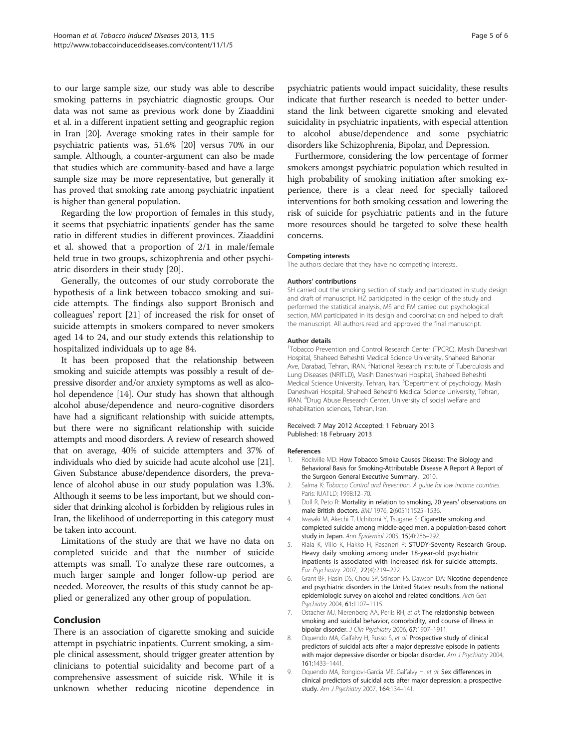<span id="page-4-0"></span>to our large sample size, our study was able to describe smoking patterns in psychiatric diagnostic groups. Our data was not same as previous work done by Ziaaddini et al. in a different inpatient setting and geographic region in Iran [\[20\]](#page-5-0). Average smoking rates in their sample for psychiatric patients was, 51.6% [[20](#page-5-0)] versus 70% in our sample. Although, a counter-argument can also be made that studies which are community-based and have a large sample size may be more representative, but generally it has proved that smoking rate among psychiatric inpatient is higher than general population.

Regarding the low proportion of females in this study, it seems that psychiatric inpatients' gender has the same ratio in different studies in different provinces. Ziaaddini et al. showed that a proportion of 2/1 in male/female held true in two groups, schizophrenia and other psychiatric disorders in their study [\[20](#page-5-0)].

Generally, the outcomes of our study corroborate the hypothesis of a link between tobacco smoking and suicide attempts. The findings also support [Bronisch and](http://f/RAZI/Suicide/RESULTS.Increased%20risk%20of%20suicidal%20ideation%20in%20smokers%20and%20former%20smokers%20compared%20to%20never%20smokers%20%20Evidence%20from%20the%20Baltimore%20ECA%20follow-up%20study.htm) [colleagues'](http://f/RAZI/Suicide/RESULTS.Increased%20risk%20of%20suicidal%20ideation%20in%20smokers%20and%20former%20smokers%20compared%20to%20never%20smokers%20%20Evidence%20from%20the%20Baltimore%20ECA%20follow-up%20study.htm) report [[21\]](#page-5-0) of increased the risk for onset of suicide attempts in smokers compared to never smokers aged 14 to 24, and our study extends this relationship to hospitalized individuals up to age 84.

It has been proposed that the relationship between smoking and suicide attempts was possibly a result of depressive disorder and/or anxiety symptoms as well as alcohol dependence [[14](#page-5-0)]. Our study has shown that although alcohol abuse/dependence and neuro-cognitive disorders have had a significant relationship with suicide attempts, but there were no significant relationship with suicide attempts and mood disorders. A review of research showed that on average, 40% of suicide attempters and 37% of individuals who died by suicide had acute alcohol use [[21](#page-5-0)]. Given Substance abuse/dependence disorders, the prevalence of alcohol abuse in our study population was 1.3%. Although it seems to be less important, but we should consider that drinking alcohol is forbidden by religious rules in Iran, the likelihood of underreporting in this category must be taken into account.

Limitations of the study are that we have no data on completed suicide and that the number of suicide attempts was small. To analyze these rare outcomes, a much larger sample and longer follow-up period are needed. Moreover, the results of this study cannot be applied or generalized any other group of population.

# Conclusion

There is an association of cigarette smoking and suicide attempt in psychiatric inpatients. Current smoking, a simple clinical assessment, should trigger greater attention by clinicians to potential suicidality and become part of a comprehensive assessment of suicide risk. While it is unknown whether reducing nicotine dependence in psychiatric patients would impact suicidality, these results indicate that further research is needed to better understand the link between cigarette smoking and elevated suicidality in psychiatric inpatients, with especial attention to alcohol abuse/dependence and some psychiatric disorders like Schizophrenia, Bipolar, and Depression.

Furthermore, considering the low percentage of former smokers amongst psychiatric population which resulted in high probability of smoking initiation after smoking experience, there is a clear need for specially tailored interventions for both smoking cessation and lowering the risk of suicide for psychiatric patients and in the future more resources should be targeted to solve these health concerns.

#### Competing interests

The authors declare that they have no competing interests.

#### Authors' contributions

SH carried out the smoking section of study and participated in study design and draft of manuscript. HZ participated in the design of the study and performed the statistical analysis, MS and FM carried out psychological section, MM participated in its design and coordination and helped to draft the manuscript. All authors read and approved the final manuscript.

#### Author details

<sup>1</sup>Tobacco Prevention and Control Research Center (TPCRC), Masih Daneshvari Hospital, Shaheed Beheshti Medical Science University, Shaheed Bahonar Ave, Darabad, Tehran, IRAN. <sup>2</sup>National Research Institute of Tuberculosis and Lung Diseases (NRITLD), Masih Daneshvari Hospital, Shaheed Beheshti Medical Science University, Tehran, Iran. <sup>3</sup>Department of psychology, Masih Daneshvari Hospital, Shaheed Beheshti Medical Science University, Tehran, IRAN. <sup>4</sup>Drug Abuse Research Center, University of social welfare and rehabilitation sciences, Tehran, Iran.

#### Received: 7 May 2012 Accepted: 1 February 2013 Published: 18 February 2013

#### References

- 1. Rockville MD: How Tobacco Smoke Causes Disease: The Biology and Behavioral Basis for Smoking-Attributable Disease A Report A Report of the Surgeon General Executive Summary. 2010.
- 2. Salma K: Tobacco Control and Prevention, A quide for low income countries. Paris: IUATLD; 1998:12–70.
- 3. Doll R, Peto R: Mortality in relation to smoking, 20 years' observations on male British doctors. BMJ 1976, 2(6051):1525–1536.
- 4. Iwasaki M, Akechi T, Uchitomi Y, Tsugane S: Cigarette smoking and completed suicide among middle-aged men, a population-based cohort study in Japan. Ann Epidemiol 2005, 15(4):286–292.
- 5. Riala K, Viilo K, Hakko H, Rasanen P: STUDY-Seventy Research Group. Heavy daily smoking among under 18-year-old psychiatric inpatients is associated with increased risk for suicide attempts. Eur Psychiatry 2007, 22(4):219–222.
- 6. Grant BF, Hasin DS, Chou SP, Stinson FS, Dawson DA: Nicotine dependence and psychiatric disorders in the United States: results from the national epidemiologic survey on alcohol and related conditions. Arch Gen Psychiatry 2004, 61:1107–1115.
- 7. Ostacher MJ, Nierenberg AA, Perlis RH, et al: The relationship between smoking and suicidal behavior, comorbidity, and course of illness in bipolar disorder. J Clin Psychiatry 2006, 67:1907-1911.
- 8. Oquendo MA, Galfalvy H, Russo S, et al: Prospective study of clinical predictors of suicidal acts after a major depressive episode in patients with major depressive disorder or bipolar disorder. Am J Psychiatry 2004, 161:1433–1441.
- 9. Oquendo MA, Bongiovi-Garcia ME, Galfalvy H, et al: Sex differences in clinical predictors of suicidal acts after major depression: a prospective study. Am J Psychiatry 2007, 164:134-141.